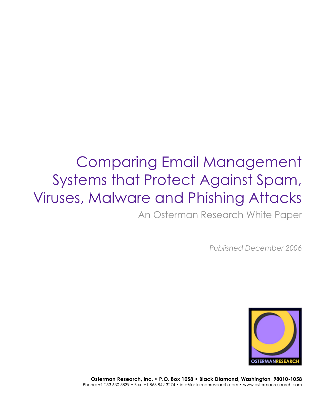An Osterman Research White Paper

*Published December 2006*



**Osterman Research, Inc. • P.O. Box 1058 • Black Diamond, Washington 98010-1058** Phone: +1 253 630 5839 • Fax: +1 866 842 3274 • info@ostermanresearch.com • www.ostermanresearch.com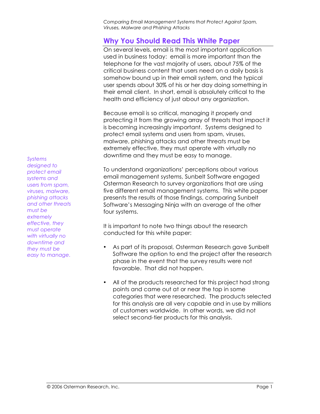# **Why You Should Read This White Paper**

On several levels, email is the most important application used in business today: email is more important than the telephone for the vast majority of users, about 75% of the critical business content that users need on a daily basis is somehow bound up in their email system, and the typical user spends about 30% of his or her day doing something in their email client. In short, email is absolutely critical to the health and efficiency of just about any organization.

Because email is so critical, managing it properly and protecting it from the growing array of threats that impact it is becoming increasingly important. Systems designed to protect email systems and users from spam, viruses, malware, phishing attacks and other threats must be extremely effective, they must operate with virtually no downtime and they must be easy to manage.

To understand organizations' perceptions about various email management systems, Sunbelt Software engaged Osterman Research to survey organizations that are using five different email management systems. This white paper presents the results of those findings, comparing Sunbelt Software's Messaging Ninja with an average of the other four systems.

It is important to note two things about the research conducted for this white paper:

- As part of its proposal, Osterman Research gave Sunbelt Software the option to end the project after the research phase in the event that the survey results were not favorable. That did not happen.
- All of the products researched for this project had strong points and came out at or near the top in some categories that were researched. The products selected for this analysis are all very capable and in use by millions of customers worldwide. In other words, we did not select second-tier products for this analysis.

*designed to protect email systems and users from spam, viruses, malware, phishing attacks and other threats must be extremely effective, they must operate with virtually no downtime and they must be easy to manage.*

*Systems*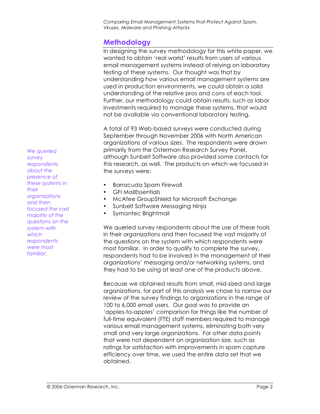# **Methodology**

In designing the survey methodology for this white paper, we wanted to obtain 'real world' results from users of various email management systems instead of relying on laboratory testing of these systems. Our thought was that by understanding how various email management systems are used in production environments, we could obtain a solid understanding of the relative pros and cons of each tool. Further, our methodology could obtain results, such as labor investments required to manage these systems, that would not be available via conventional laboratory testing.

A total of 93 Web-based surveys were conducted during September through November 2006 with North American organizations of various sizes. The respondents were drawn primarily from the Osterman Research Survey Panel, although Sunbelt Software also provided some contacts for this research, as well. The products on which we focused in the surveys were:

- Barracuda Spam Firewall
- GFI MailEssentials
- McAfee GroupShield for Microsoft Exchange
- Sunbelt Software Messaging Ninja
- Symantec Brightmail

We queried survey respondents about the use of these tools in their organizations and then focused the vast majority of the questions on the system with which respondents were most familiar. In order to qualify to complete the survey, respondents had to be involved in the management of their organizations' messaging and/or networking systems, and they had to be using at least one of the products above.

Because we obtained results from small, mid-sized and large organizations, for part of this analysis we chose to narrow our review of the survey findings to organizations in the range of 100 to 6,000 email users. Our goal was to provide an 'apples-to-apples' comparison for things like the number of full-time equivalent (FTE) staff members required to manage various email management systems, eliminating both very small and very large organizations. For other data points that were not dependent on organization size, such as ratings for satisfaction with improvements in spam capture efficiency over time, we used the entire data set that we obtained.

*We queried survey respondents about the presence of these systems in their organizations and then focused the vast majority of the questions on the system with which respondents were most familiar.*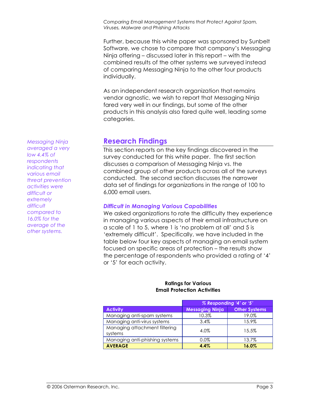Further, because this white paper was sponsored by Sunbelt Software, we chose to compare that company's Messaging Ninja offering – discussed later in this report – with the combined results of the other systems we surveyed instead of comparing Messaging Ninja to the other four products individually.

As an independent research organization that remains vendor agnostic, we wish to report that Messaging Ninja fared very well in our findings, but some of the other products in this analysis also fared quite well, leading some categories.

# **Research Findings**

This section reports on the key findings discovered in the survey conducted for this white paper. The first section discusses a comparison of Messaging Ninja vs. the combined group of other products across all of the surveys conducted. The second section discusses the narrower data set of findings for organizations in the range of 100 to 6,000 email users.

## *Difficult in Managing Various Capabilities*

We asked organizations to rate the difficulty they experience in managing various aspects of their email infrastructure on a scale of 1 to 5, where 1 is 'no problem at all' and 5 is 'extremely difficult'. Specifically, we have included in the table below four key aspects of managing an email system focused on specific areas of protection – the results show the percentage of respondents who provided a rating of '4' or '5' for each activity.

#### **Ratings for Various Email Protection Activities**

|                                          | % Responding '4' or '5' |                      |
|------------------------------------------|-------------------------|----------------------|
| <b>Activity</b>                          | Messaging Ninja         | <b>Other Systems</b> |
| Managing anti-spam systems               | 10.3%                   | 19.0%                |
| Managing anti-virus systems              | 3.4%                    | 15.9%                |
| Managing attachment filtering<br>systems | 4.0%                    | 15.5%                |
| Managing anti-phishing systems           | 0.0%                    | 13.7%                |
| <b>AVERAGE</b>                           | 4.4%                    | 16.0%                |

*Messaging Ninja averaged a very low 4.4% of respondents indicating that various email threat prevention activities were difficult or extremely difficult compared to 16.0% for the average of the other systems.*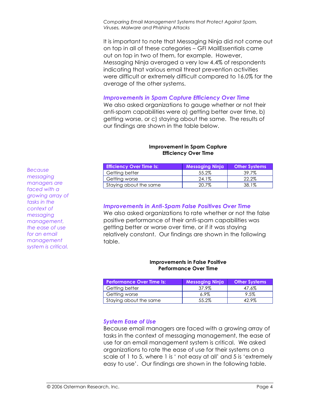It is important to note that Messaging Ninja did not come out on top in all of these categories – GFI MailEssentials came out on top in two of them, for example. However, Messaging Ninja averaged a very low 4.4% of respondents indicating that various email threat prevention activities were difficult or extremely difficult compared to 16.0% for the average of the other systems.

#### *Improvements in Spam Capture Efficiency Over Time*

We also asked organizations to gauge whether or not their anti-spam capabilities were a) getting better over time, b) getting worse, or c) staying about the same. The results of our findings are shown in the table below.

#### **Improvement in Spam Capture Efficiency Over Time**

| <b>Efficiency Over Time Is:</b> | <b>Messaging Ninja</b> | <b>Other Systems</b> |
|---------------------------------|------------------------|----------------------|
| Getting better                  | 55.2%                  | 39.7%                |
| Getting worse                   | 24.1%                  | 22.2%                |
| Staying about the same          | 20.7%                  | 38.1%                |

### *Improvements in Anti-Spam False Positives Over Time*

We also asked organizations to rate whether or not the false positive performance of their anti-spam capabilities was getting better or worse over time, or if it was staying relatively constant. Our findings are shown in the following table.

#### **Improvements in False Positive Performance Over Time**

| <b>Performance Over Time Is:</b> | <b>Messaging Ninja</b> | <b>Other Systems</b> |
|----------------------------------|------------------------|----------------------|
| Getting better                   | 37.9%                  | 47.6%                |
| Getting worse                    | $6.9\%$                | 9.5%                 |
| Staying about the same           | 55.2%                  | 42 9%                |

#### *System Ease of Use*

Because email managers are faced with a growing array of tasks in the context of messaging management, the ease of use for an email management system is critical. We asked organizations to rate the ease of use for their systems on a scale of 1 to 5, where 1 is ' not easy at all' and 5 is 'extremely easy to use'. Our findings are shown in the following table.

*Because messaging managers are faced with a growing array of tasks in the context of messaging management, the ease of use for an email management system is critical.*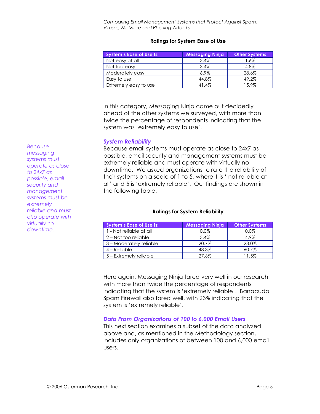#### **Ratings for System Ease of Use**

| <b>System's Ease of Use Is:</b> | <b>Messaging Ninja</b> | <b>Other Systems</b> |
|---------------------------------|------------------------|----------------------|
| Not easy at all                 | $3.4\%$                | $1.6\%$              |
| Not too easy                    | $3.4\%$                | 4.8%                 |
| Moderately easy                 | $6.9\%$                | 28.6%                |
| Easy to use                     | 44.8%                  | 49.2%                |
| Extremely easy to use           | 41.4%                  | 15.9%                |

In this category, Messaging Ninja came out decidedly ahead of the other systems we surveyed, with more than twice the percentage of respondents indicating that the system was 'extremely easy to use'.

## *System Reliability*

Because email systems must operate as close to 24x7 as possible, email security and management systems must be extremely reliable and must operate with virtually no downtime. We asked organizations to rate the reliability of their systems on a scale of 1 to 5, where 1 is ' not reliable at all' and 5 is 'extremely reliable'. Our findings are shown in the following table.

#### **Ratings for System Reliability**

| <b>System's Ease of Use Is:</b> | <b>Messaging Ninja</b> | <b>Other Systems</b> |
|---------------------------------|------------------------|----------------------|
| 1 - Not reliable at all         | 0.0%                   | 0.0%                 |
| 2 – Not too reliable            | 3.4%                   | 4.9%                 |
| 3 – Moderately reliable         | 20.7%                  | 23.0%                |
| $4 -$ Reliable                  | 48.3%                  | $60.7\%$             |
| 5 - Extremely reliable          | 27.6%                  | 11.5%                |

Here again, Messaging Ninja fared very well in our research, with more than twice the percentage of respondents indicating that the system is 'extremely reliable'. Barracuda Spam Firewall also fared well, with 23% indicating that the system is 'extremely reliable'.

# *Data From Organizations of 100 to 6,000 Email Users*

This next section examines a subset of the data analyzed above and, as mentioned in the Methodology section, includes only organizations of between 100 and 6,000 email users.

*Because messaging systems must operate as close to 24x7 as possible, email security and management systems must be extremely reliable and must also operate with virtually no downtime.*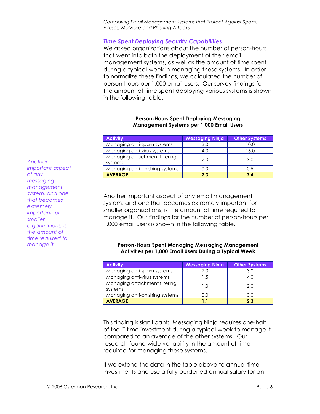## *Time Spent Deploying Security Capabilities*

We asked organizations about the number of person-hours that went into both the deployment of their email management systems, as well as the amount of time spent during a typical week in managing these systems. In order to normalize these findings, we calculated the number of person-hours per 1,000 email users. Our survey findings for the amount of time spent deploying various systems is shown in the following table.

#### **Person-Hours Spent Deploying Messaging Management Systems per 1,000 Email Users**

| <b>Activity</b>                          | <b>Messaging Ninja</b> | <b>Other Systems</b> |
|------------------------------------------|------------------------|----------------------|
| Managing anti-spam systems               | 3.0                    | 10.0                 |
| Managing anti-virus systems              | 4.0                    | 16.0                 |
| Managing attachment filtering<br>systems | 2.0                    | 3.0                  |
| Managing anti-phishing systems           | 0.0                    | 0.5                  |
| <b>AVERAGE</b>                           | 2.3                    | 74                   |

Another important aspect of any email management system, and one that becomes extremely important for smaller organizations, is the amount of time required to manage it. Our findings for the number of person-hours per 1,000 email users is shown in the following table.

#### **Person-Hours Spent Managing Messaging Management Activities per 1,000 Email Users During a Typical Week**

| <b>Activity</b>                          | <b>Messaging Ninja</b> | <b>Other Systems</b> |
|------------------------------------------|------------------------|----------------------|
| Managing anti-spam systems               | 2.0                    | 3.0                  |
| Managing anti-virus systems              | 1.5                    | 4.0                  |
| Managing attachment filtering<br>systems | 1 ∩                    | 2.0                  |
| Managing anti-phishing systems           | 0.0                    | 0.0                  |
| <b>AVERAGE</b>                           | 1.1                    | 2.3                  |

This finding is significant: Messaging Ninja requires one-half of the IT time investment during a typical week to manage it compared to an average of the other systems. Our research found wide variability in the amount of time required for managing these systems.

If we extend the data in the table above to annual time investments and use a fully burdened annual salary for an IT

*Another important aspect of any messaging management system, and one that becomes extremely important for smaller organizations, is the amount of time required to manage it.*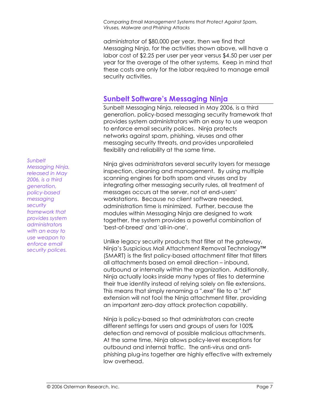administrator of \$80,000 per year, then we find that Messaging Ninja, for the activities shown above, will have a labor cost of \$2.25 per user per year versus \$4.50 per user per year for the average of the other systems. Keep in mind that these costs are only for the labor required to manage email security activities.

# **Sunbelt Software's Messaging Ninja**

Sunbelt Messaging Ninja, released in May 2006, is a third generation, policy-based messaging security framework that provides system administrators with an easy to use weapon to enforce email security polices. Ninja protects networks against spam, phishing, viruses and other messaging security threats, and provides unparalleled flexibility and reliability at the same time.

Ninja gives administrators several security layers for message inspection, cleaning and management. By using multiple scanning engines for both spam and viruses and by integrating other messaging security rules, all treatment of messages occurs at the server, not at end-users' workstations. Because no client software needed, administration time is minimized. Further, because the modules within Messaging Ninja are designed to work together, the system provides a powerful combination of 'best-of-breed' and 'all-in-one'.

Unlike legacy security products that filter at the gateway, Ninja's Suspicious Mail Attachment Removal Technology™ (SMART) is the first policy-based attachment filter that filters all attachments based on email direction – inbound, outbound or internally within the organization. Additionally, Ninja actually looks inside many types of files to determine their true identity instead of relying solely on file extensions. This means that simply renaming a ".exe" file to a ".txt" extension will not fool the Ninja attachment filter, providing an important zero-day attack protection capability.

Ninja is policy-based so that administrators can create different settings for users and groups of users for 100% detection and removal of possible malicious attachments. At the same time, Ninja allows policy-level exceptions for outbound and internal traffic. The anti-virus and antiphishing plug-ins together are highly effective with extremely low overhead.

*Sunbelt*

*Messaging Ninja, released in May 2006, is a third generation, policy-based messaging security framework that provides system administrators with an easy to use weapon to enforce email security polices.*